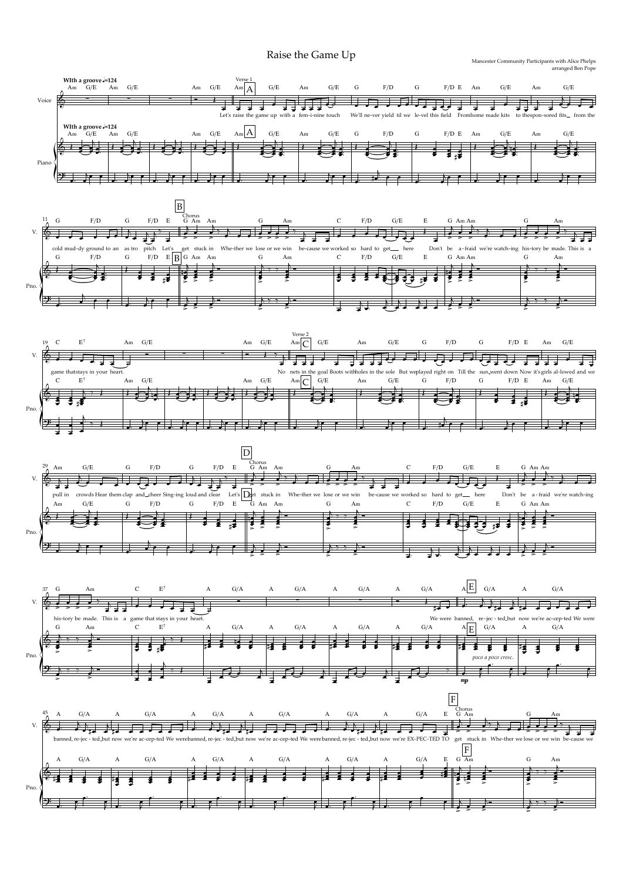Raise the Game Up Mancester Community Participants with Alice Phelps

arranged Ben Pope